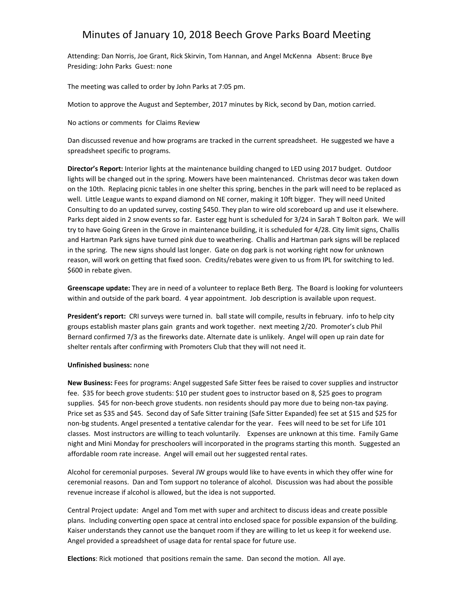## Minutes of January 10, 2018 Beech Grove Parks Board Meeting

Attending: Dan Norris, Joe Grant, Rick Skirvin, Tom Hannan, and Angel McKenna Absent: Bruce Bye Presiding: John Parks Guest: none

The meeting was called to order by John Parks at 7:05 pm.

Motion to approve the August and September, 2017 minutes by Rick, second by Dan, motion carried.

No actions or comments for Claims Review

Dan discussed revenue and how programs are tracked in the current spreadsheet. He suggested we have a spreadsheet specific to programs.

**Director's Report:** Interior lights at the maintenance building changed to LED using 2017 budget. Outdoor lights will be changed out in the spring. Mowers have been maintenanced. Christmas decor was taken down on the 10th. Replacing picnic tables in one shelter this spring, benches in the park will need to be replaced as well. Little League wants to expand diamond on NE corner, making it 10ft bigger. They will need United Consulting to do an updated survey, costing \$450. They plan to wire old scoreboard up and use it elsewhere. Parks dept aided in 2 snow events so far. Easter egg hunt is scheduled for 3/24 in Sarah T Bolton park. We will try to have Going Green in the Grove in maintenance building, it is scheduled for 4/28. City limit signs, Challis and Hartman Park signs have turned pink due to weathering. Challis and Hartman park signs will be replaced in the spring. The new signs should last longer. Gate on dog park is not working right now for unknown reason, will work on getting that fixed soon. Credits/rebates were given to us from IPL for switching to led. \$600 in rebate given.

**Greenscape update:** They are in need of a volunteer to replace Beth Berg. The Board is looking for volunteers within and outside of the park board. 4 year appointment. Job description is available upon request.

**President's report:** CRI surveys were turned in. ball state will compile, results in february. info to help city groups establish master plans gain grants and work together. next meeting 2/20. Promoter's club Phil Bernard confirmed 7/3 as the fireworks date. Alternate date is unlikely. Angel will open up rain date for shelter rentals after confirming with Promoters Club that they will not need it.

## **Unfinished business:** none

**New Business:** Fees for programs: Angel suggested Safe Sitter fees be raised to cover supplies and instructor fee. \$35 for beech grove students: \$10 per student goes to instructor based on 8, \$25 goes to program supplies. \$45 for non-beech grove students. non residents should pay more due to being non-tax paying. Price set as \$35 and \$45. Second day of Safe Sitter training (Safe Sitter Expanded) fee set at \$15 and \$25 for non-bg students. Angel presented a tentative calendar for the year. Fees will need to be set for Life 101 classes. Most instructors are willing to teach voluntarily. Expenses are unknown at this time. Family Game night and Mini Monday for preschoolers will incorporated in the programs starting this month. Suggested an affordable room rate increase. Angel will email out her suggested rental rates.

Alcohol for ceremonial purposes. Several JW groups would like to have events in which they offer wine for ceremonial reasons. Dan and Tom support no tolerance of alcohol. Discussion was had about the possible revenue increase if alcohol is allowed, but the idea is not supported.

Central Project update: Angel and Tom met with super and architect to discuss ideas and create possible plans. Including converting open space at central into enclosed space for possible expansion of the building. Kaiser understands they cannot use the banquet room if they are willing to let us keep it for weekend use. Angel provided a spreadsheet of usage data for rental space for future use.

**Elections**: Rick motioned that positions remain the same. Dan second the motion. All aye.